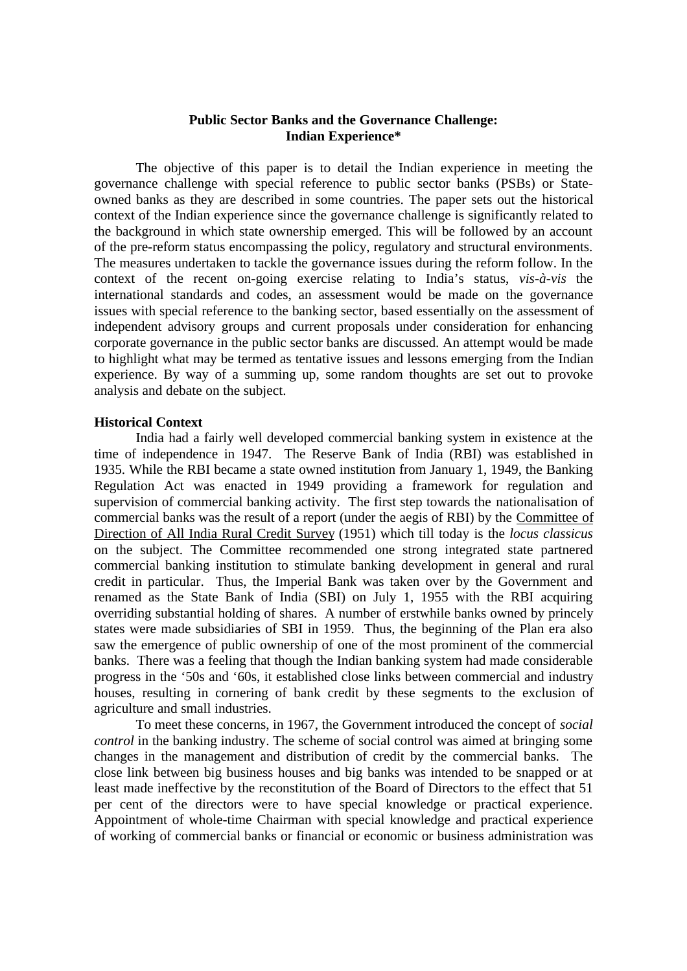## **Public Sector Banks and the Governance Challenge: Indian Experience\***

The objective of this paper is to detail the Indian experience in meeting the governance challenge with special reference to public sector banks (PSBs) or Stateowned banks as they are described in some countries. The paper sets out the historical context of the Indian experience since the governance challenge is significantly related to the background in which state ownership emerged. This will be followed by an account of the pre-reform status encompassing the policy, regulatory and structural environments. The measures undertaken to tackle the governance issues during the reform follow. In the context of the recent on-going exercise relating to India's status, *vis-à-vis* the international standards and codes, an assessment would be made on the governance issues with special reference to the banking sector, based essentially on the assessment of independent advisory groups and current proposals under consideration for enhancing corporate governance in the public sector banks are discussed. An attempt would be made to highlight what may be termed as tentative issues and lessons emerging from the Indian experience. By way of a summing up, some random thoughts are set out to provoke analysis and debate on the subject.

## **Historical Context**

India had a fairly well developed commercial banking system in existence at the time of independence in 1947. The Reserve Bank of India (RBI) was established in 1935. While the RBI became a state owned institution from January 1, 1949, the Banking Regulation Act was enacted in 1949 providing a framework for regulation and supervision of commercial banking activity. The first step towards the nationalisation of commercial banks was the result of a report (under the aegis of RBI) by the Committee of Direction of All India Rural Credit Survey (1951) which till today is the *locus classicus* on the subject. The Committee recommended one strong integrated state partnered commercial banking institution to stimulate banking development in general and rural credit in particular. Thus, the Imperial Bank was taken over by the Government and renamed as the State Bank of India (SBI) on July 1, 1955 with the RBI acquiring overriding substantial holding of shares. A number of erstwhile banks owned by princely states were made subsidiaries of SBI in 1959. Thus, the beginning of the Plan era also saw the emergence of public ownership of one of the most prominent of the commercial banks. There was a feeling that though the Indian banking system had made considerable progress in the '50s and '60s, it established close links between commercial and industry houses, resulting in cornering of bank credit by these segments to the exclusion of agriculture and small industries.

To meet these concerns, in 1967, the Government introduced the concept of *social control* in the banking industry. The scheme of social control was aimed at bringing some changes in the management and distribution of credit by the commercial banks. The close link between big business houses and big banks was intended to be snapped or at least made ineffective by the reconstitution of the Board of Directors to the effect that 51 per cent of the directors were to have special knowledge or practical experience. Appointment of whole-time Chairman with special knowledge and practical experience of working of commercial banks or financial or economic or business administration was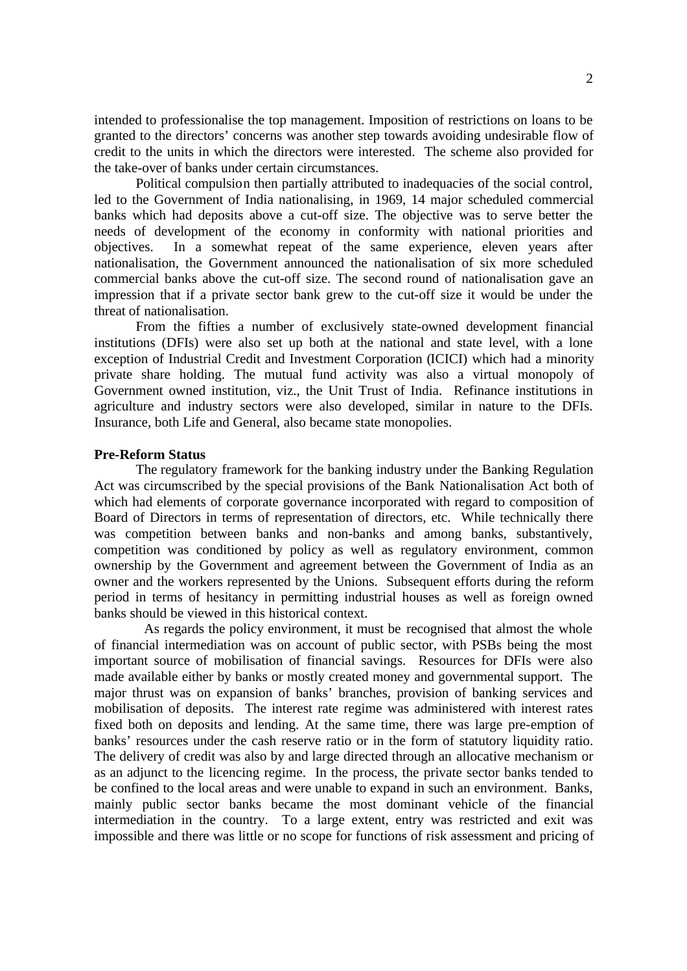intended to professionalise the top management. Imposition of restrictions on loans to be granted to the directors' concerns was another step towards avoiding undesirable flow of credit to the units in which the directors were interested. The scheme also provided for the take-over of banks under certain circumstances.

Political compulsion then partially attributed to inadequacies of the social control, led to the Government of India nationalising, in 1969, 14 major scheduled commercial banks which had deposits above a cut-off size. The objective was to serve better the needs of development of the economy in conformity with national priorities and objectives. In a somewhat repeat of the same experience, eleven years after nationalisation, the Government announced the nationalisation of six more scheduled commercial banks above the cut-off size. The second round of nationalisation gave an impression that if a private sector bank grew to the cut-off size it would be under the threat of nationalisation.

From the fifties a number of exclusively state-owned development financial institutions (DFIs) were also set up both at the national and state level, with a lone exception of Industrial Credit and Investment Corporation (ICICI) which had a minority private share holding. The mutual fund activity was also a virtual monopoly of Government owned institution, viz., the Unit Trust of India. Refinance institutions in agriculture and industry sectors were also developed, similar in nature to the DFIs. Insurance, both Life and General, also became state monopolies.

#### **Pre-Reform Status**

The regulatory framework for the banking industry under the Banking Regulation Act was circumscribed by the special provisions of the Bank Nationalisation Act both of which had elements of corporate governance incorporated with regard to composition of Board of Directors in terms of representation of directors, etc. While technically there was competition between banks and non-banks and among banks, substantively, competition was conditioned by policy as well as regulatory environment, common ownership by the Government and agreement between the Government of India as an owner and the workers represented by the Unions. Subsequent efforts during the reform period in terms of hesitancy in permitting industrial houses as well as foreign owned banks should be viewed in this historical context.

 As regards the policy environment, it must be recognised that almost the whole of financial intermediation was on account of public sector, with PSBs being the most important source of mobilisation of financial savings. Resources for DFIs were also made available either by banks or mostly created money and governmental support. The major thrust was on expansion of banks' branches, provision of banking services and mobilisation of deposits. The interest rate regime was administered with interest rates fixed both on deposits and lending. At the same time, there was large pre-emption of banks' resources under the cash reserve ratio or in the form of statutory liquidity ratio. The delivery of credit was also by and large directed through an allocative mechanism or as an adjunct to the licencing regime. In the process, the private sector banks tended to be confined to the local areas and were unable to expand in such an environment. Banks, mainly public sector banks became the most dominant vehicle of the financial intermediation in the country. To a large extent, entry was restricted and exit was impossible and there was little or no scope for functions of risk assessment and pricing of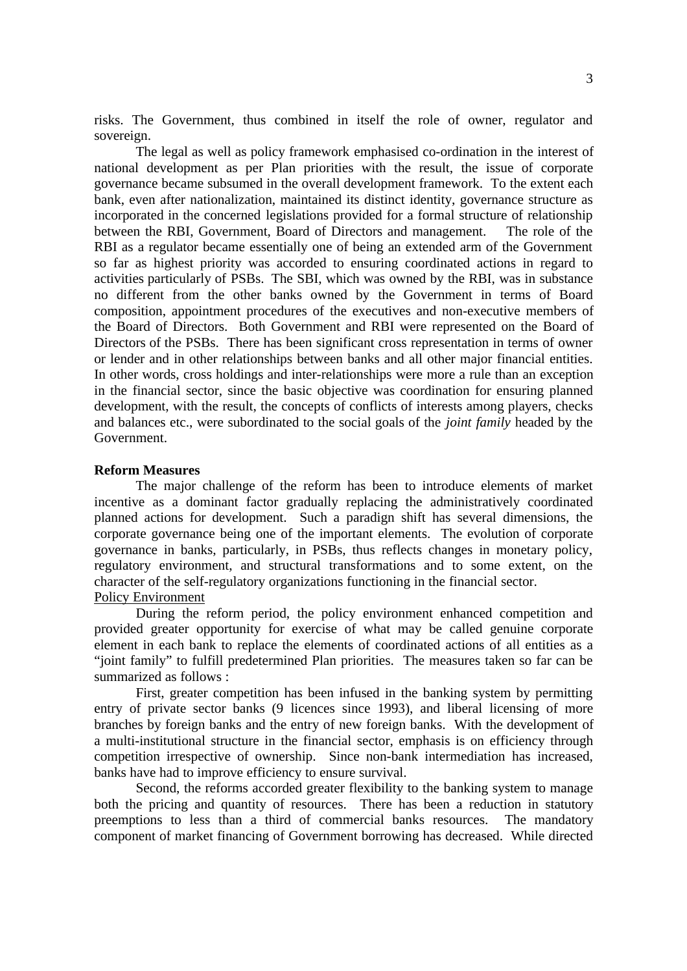risks. The Government, thus combined in itself the role of owner, regulator and sovereign.

The legal as well as policy framework emphasised co-ordination in the interest of national development as per Plan priorities with the result, the issue of corporate governance became subsumed in the overall development framework. To the extent each bank, even after nationalization, maintained its distinct identity, governance structure as incorporated in the concerned legislations provided for a formal structure of relationship between the RBI, Government, Board of Directors and management. The role of the RBI as a regulator became essentially one of being an extended arm of the Government so far as highest priority was accorded to ensuring coordinated actions in regard to activities particularly of PSBs. The SBI, which was owned by the RBI, was in substance no different from the other banks owned by the Government in terms of Board composition, appointment procedures of the executives and non-executive members of the Board of Directors. Both Government and RBI were represented on the Board of Directors of the PSBs. There has been significant cross representation in terms of owner or lender and in other relationships between banks and all other major financial entities. In other words, cross holdings and inter-relationships were more a rule than an exception in the financial sector, since the basic objective was coordination for ensuring planned development, with the result, the concepts of conflicts of interests among players, checks and balances etc., were subordinated to the social goals of the *joint family* headed by the Government.

## **Reform Measures**

The major challenge of the reform has been to introduce elements of market incentive as a dominant factor gradually replacing the administratively coordinated planned actions for development. Such a paradign shift has several dimensions, the corporate governance being one of the important elements. The evolution of corporate governance in banks, particularly, in PSBs, thus reflects changes in monetary policy, regulatory environment, and structural transformations and to some extent, on the character of the self-regulatory organizations functioning in the financial sector. Policy Environment

During the reform period, the policy environment enhanced competition and provided greater opportunity for exercise of what may be called genuine corporate element in each bank to replace the elements of coordinated actions of all entities as a "joint family" to fulfill predetermined Plan priorities. The measures taken so far can be summarized as follows :

First, greater competition has been infused in the banking system by permitting entry of private sector banks (9 licences since 1993), and liberal licensing of more branches by foreign banks and the entry of new foreign banks. With the development of a multi-institutional structure in the financial sector, emphasis is on efficiency through competition irrespective of ownership. Since non-bank intermediation has increased, banks have had to improve efficiency to ensure survival.

Second, the reforms accorded greater flexibility to the banking system to manage both the pricing and quantity of resources. There has been a reduction in statutory preemptions to less than a third of commercial banks resources. The mandatory component of market financing of Government borrowing has decreased. While directed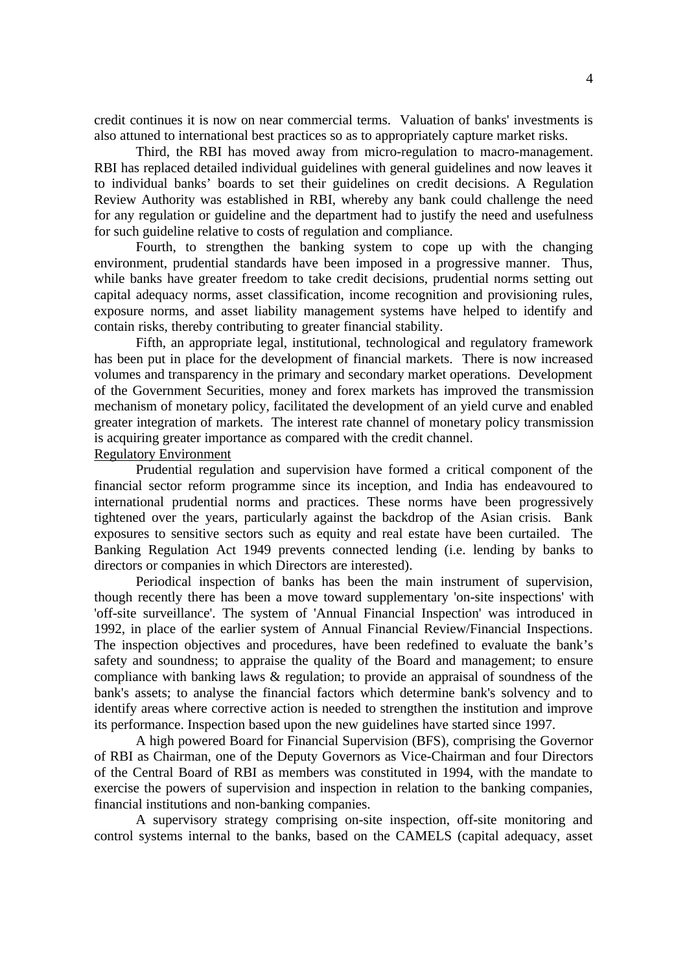credit continues it is now on near commercial terms. Valuation of banks' investments is also attuned to international best practices so as to appropriately capture market risks.

Third, the RBI has moved away from micro-regulation to macro-management. RBI has replaced detailed individual guidelines with general guidelines and now leaves it to individual banks' boards to set their guidelines on credit decisions. A Regulation Review Authority was established in RBI, whereby any bank could challenge the need for any regulation or guideline and the department had to justify the need and usefulness for such guideline relative to costs of regulation and compliance.

Fourth, to strengthen the banking system to cope up with the changing environment, prudential standards have been imposed in a progressive manner. Thus, while banks have greater freedom to take credit decisions, prudential norms setting out capital adequacy norms, asset classification, income recognition and provisioning rules, exposure norms, and asset liability management systems have helped to identify and contain risks, thereby contributing to greater financial stability.

Fifth, an appropriate legal, institutional, technological and regulatory framework has been put in place for the development of financial markets. There is now increased volumes and transparency in the primary and secondary market operations. Development of the Government Securities, money and forex markets has improved the transmission mechanism of monetary policy, facilitated the development of an yield curve and enabled greater integration of markets. The interest rate channel of monetary policy transmission is acquiring greater importance as compared with the credit channel.

## Regulatory Environment

Prudential regulation and supervision have formed a critical component of the financial sector reform programme since its inception, and India has endeavoured to international prudential norms and practices. These norms have been progressively tightened over the years, particularly against the backdrop of the Asian crisis. Bank exposures to sensitive sectors such as equity and real estate have been curtailed. The Banking Regulation Act 1949 prevents connected lending (i.e. lending by banks to directors or companies in which Directors are interested).

Periodical inspection of banks has been the main instrument of supervision, though recently there has been a move toward supplementary 'on-site inspections' with 'off-site surveillance'. The system of 'Annual Financial Inspection' was introduced in 1992, in place of the earlier system of Annual Financial Review/Financial Inspections. The inspection objectives and procedures, have been redefined to evaluate the bank's safety and soundness; to appraise the quality of the Board and management; to ensure compliance with banking laws & regulation; to provide an appraisal of soundness of the bank's assets; to analyse the financial factors which determine bank's solvency and to identify areas where corrective action is needed to strengthen the institution and improve its performance. Inspection based upon the new guidelines have started since 1997.

A high powered Board for Financial Supervision (BFS), comprising the Governor of RBI as Chairman, one of the Deputy Governors as Vice-Chairman and four Directors of the Central Board of RBI as members was constituted in 1994, with the mandate to exercise the powers of supervision and inspection in relation to the banking companies, financial institutions and non-banking companies.

A supervisory strategy comprising on-site inspection, off-site monitoring and control systems internal to the banks, based on the CAMELS (capital adequacy, asset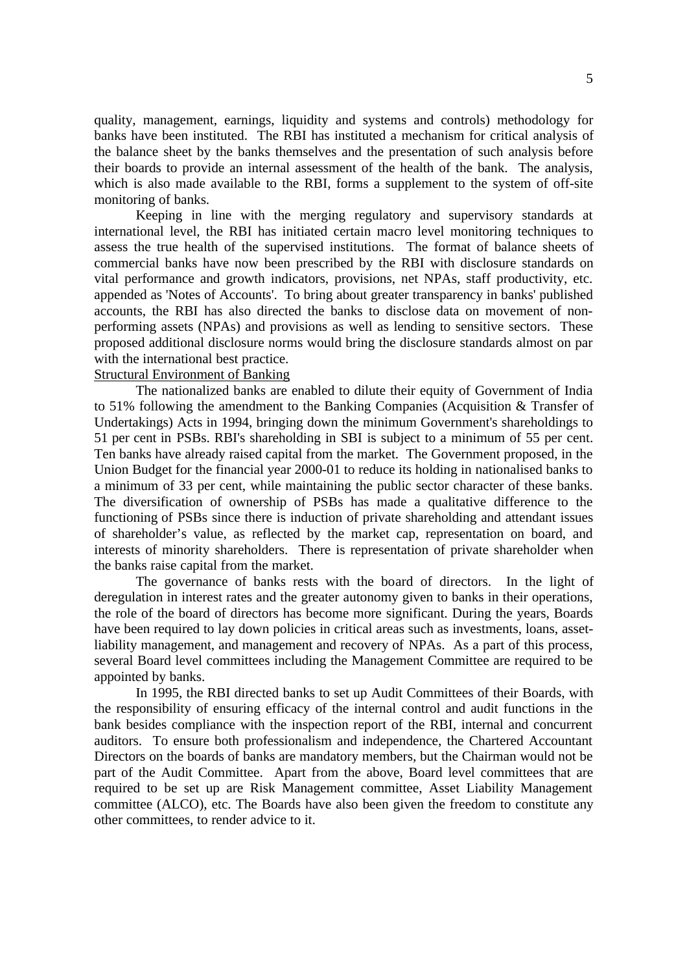quality, management, earnings, liquidity and systems and controls) methodology for banks have been instituted. The RBI has instituted a mechanism for critical analysis of the balance sheet by the banks themselves and the presentation of such analysis before their boards to provide an internal assessment of the health of the bank. The analysis, which is also made available to the RBI, forms a supplement to the system of off-site monitoring of banks.

Keeping in line with the merging regulatory and supervisory standards at international level, the RBI has initiated certain macro level monitoring techniques to assess the true health of the supervised institutions. The format of balance sheets of commercial banks have now been prescribed by the RBI with disclosure standards on vital performance and growth indicators, provisions, net NPAs, staff productivity, etc. appended as 'Notes of Accounts'. To bring about greater transparency in banks' published accounts, the RBI has also directed the banks to disclose data on movement of nonperforming assets (NPAs) and provisions as well as lending to sensitive sectors. These proposed additional disclosure norms would bring the disclosure standards almost on par with the international best practice.

# Structural Environment of Banking

The nationalized banks are enabled to dilute their equity of Government of India to 51% following the amendment to the Banking Companies (Acquisition & Transfer of Undertakings) Acts in 1994, bringing down the minimum Government's shareholdings to 51 per cent in PSBs. RBI's shareholding in SBI is subject to a minimum of 55 per cent. Ten banks have already raised capital from the market. The Government proposed, in the Union Budget for the financial year 2000-01 to reduce its holding in nationalised banks to a minimum of 33 per cent, while maintaining the public sector character of these banks. The diversification of ownership of PSBs has made a qualitative difference to the functioning of PSBs since there is induction of private shareholding and attendant issues of shareholder's value, as reflected by the market cap, representation on board, and interests of minority shareholders. There is representation of private shareholder when the banks raise capital from the market.

The governance of banks rests with the board of directors. In the light of deregulation in interest rates and the greater autonomy given to banks in their operations, the role of the board of directors has become more significant. During the years, Boards have been required to lay down policies in critical areas such as investments, loans, assetliability management, and management and recovery of NPAs. As a part of this process, several Board level committees including the Management Committee are required to be appointed by banks.

In 1995, the RBI directed banks to set up Audit Committees of their Boards, with the responsibility of ensuring efficacy of the internal control and audit functions in the bank besides compliance with the inspection report of the RBI, internal and concurrent auditors. To ensure both professionalism and independence, the Chartered Accountant Directors on the boards of banks are mandatory members, but the Chairman would not be part of the Audit Committee. Apart from the above, Board level committees that are required to be set up are Risk Management committee, Asset Liability Management committee (ALCO), etc. The Boards have also been given the freedom to constitute any other committees, to render advice to it.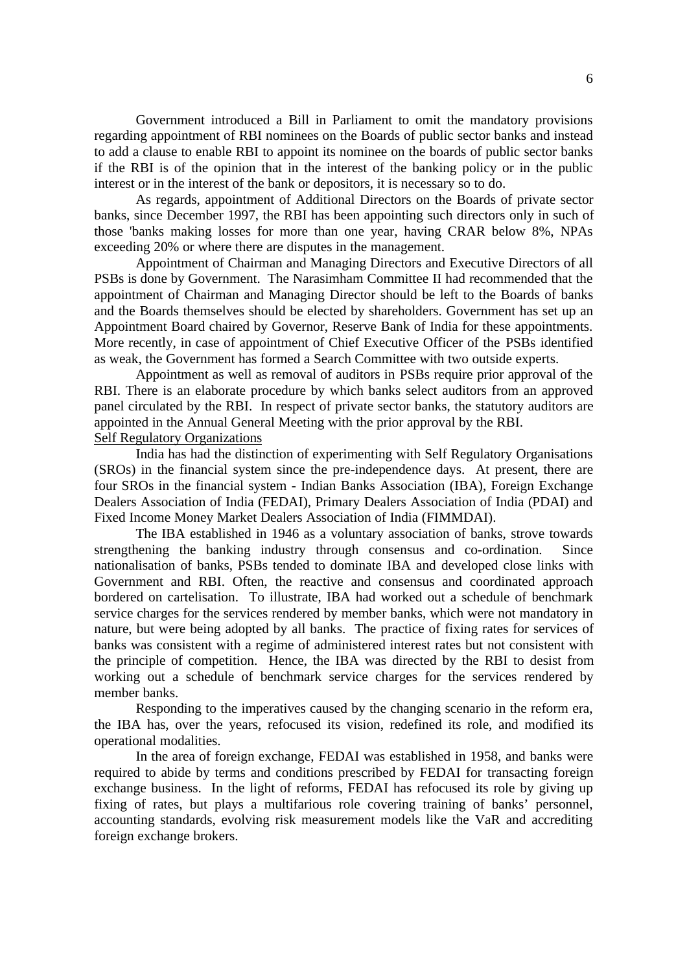Government introduced a Bill in Parliament to omit the mandatory provisions regarding appointment of RBI nominees on the Boards of public sector banks and instead to add a clause to enable RBI to appoint its nominee on the boards of public sector banks if the RBI is of the opinion that in the interest of the banking policy or in the public interest or in the interest of the bank or depositors, it is necessary so to do.

As regards, appointment of Additional Directors on the Boards of private sector banks, since December 1997, the RBI has been appointing such directors only in such of those 'banks making losses for more than one year, having CRAR below 8%, NPAs exceeding 20% or where there are disputes in the management.

Appointment of Chairman and Managing Directors and Executive Directors of all PSBs is done by Government. The Narasimham Committee II had recommended that the appointment of Chairman and Managing Director should be left to the Boards of banks and the Boards themselves should be elected by shareholders. Government has set up an Appointment Board chaired by Governor, Reserve Bank of India for these appointments. More recently, in case of appointment of Chief Executive Officer of the PSBs identified as weak, the Government has formed a Search Committee with two outside experts.

Appointment as well as removal of auditors in PSBs require prior approval of the RBI. There is an elaborate procedure by which banks select auditors from an approved panel circulated by the RBI. In respect of private sector banks, the statutory auditors are appointed in the Annual General Meeting with the prior approval by the RBI. Self Regulatory Organizations

India has had the distinction of experimenting with Self Regulatory Organisations (SROs) in the financial system since the pre-independence days. At present, there are four SROs in the financial system - Indian Banks Association (IBA), Foreign Exchange Dealers Association of India (FEDAI), Primary Dealers Association of India (PDAI) and Fixed Income Money Market Dealers Association of India (FIMMDAI).

The IBA established in 1946 as a voluntary association of banks, strove towards strengthening the banking industry through consensus and co-ordination. Since nationalisation of banks, PSBs tended to dominate IBA and developed close links with Government and RBI. Often, the reactive and consensus and coordinated approach bordered on cartelisation. To illustrate, IBA had worked out a schedule of benchmark service charges for the services rendered by member banks, which were not mandatory in nature, but were being adopted by all banks. The practice of fixing rates for services of banks was consistent with a regime of administered interest rates but not consistent with the principle of competition. Hence, the IBA was directed by the RBI to desist from working out a schedule of benchmark service charges for the services rendered by member banks.

Responding to the imperatives caused by the changing scenario in the reform era, the IBA has, over the years, refocused its vision, redefined its role, and modified its operational modalities.

In the area of foreign exchange, FEDAI was established in 1958, and banks were required to abide by terms and conditions prescribed by FEDAI for transacting foreign exchange business. In the light of reforms, FEDAI has refocused its role by giving up fixing of rates, but plays a multifarious role covering training of banks' personnel, accounting standards, evolving risk measurement models like the VaR and accrediting foreign exchange brokers.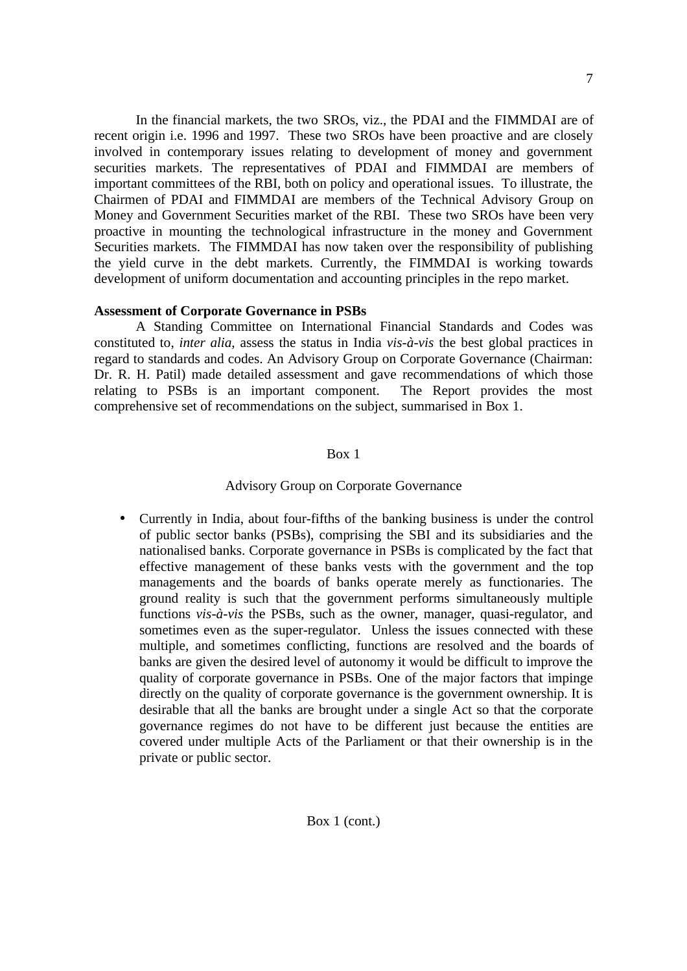In the financial markets, the two SROs, viz., the PDAI and the FIMMDAI are of recent origin i.e. 1996 and 1997. These two SROs have been proactive and are closely involved in contemporary issues relating to development of money and government securities markets. The representatives of PDAI and FIMMDAI are members of important committees of the RBI, both on policy and operational issues. To illustrate, the Chairmen of PDAI and FIMMDAI are members of the Technical Advisory Group on Money and Government Securities market of the RBI. These two SROs have been very proactive in mounting the technological infrastructure in the money and Government Securities markets. The FIMMDAI has now taken over the responsibility of publishing the yield curve in the debt markets. Currently, the FIMMDAI is working towards development of uniform documentation and accounting principles in the repo market.

## **Assessment of Corporate Governance in PSBs**

A Standing Committee on International Financial Standards and Codes was constituted to, *inter alia*, assess the status in India *vis-à-vis* the best global practices in regard to standards and codes. An Advisory Group on Corporate Governance (Chairman: Dr. R. H. Patil) made detailed assessment and gave recommendations of which those relating to PSBs is an important component. The Report provides the most comprehensive set of recommendations on the subject, summarised in Box 1.

## Box 1

## Advisory Group on Corporate Governance

• Currently in India, about four-fifths of the banking business is under the control of public sector banks (PSBs), comprising the SBI and its subsidiaries and the nationalised banks. Corporate governance in PSBs is complicated by the fact that effective management of these banks vests with the government and the top managements and the boards of banks operate merely as functionaries. The ground reality is such that the government performs simultaneously multiple functions *vis-à-vis* the PSBs, such as the owner, manager, quasi-regulator, and sometimes even as the super-regulator. Unless the issues connected with these multiple, and sometimes conflicting, functions are resolved and the boards of banks are given the desired level of autonomy it would be difficult to improve the quality of corporate governance in PSBs. One of the major factors that impinge directly on the quality of corporate governance is the government ownership. It is desirable that all the banks are brought under a single Act so that the corporate governance regimes do not have to be different just because the entities are covered under multiple Acts of the Parliament or that their ownership is in the private or public sector.

## Box 1 (cont.)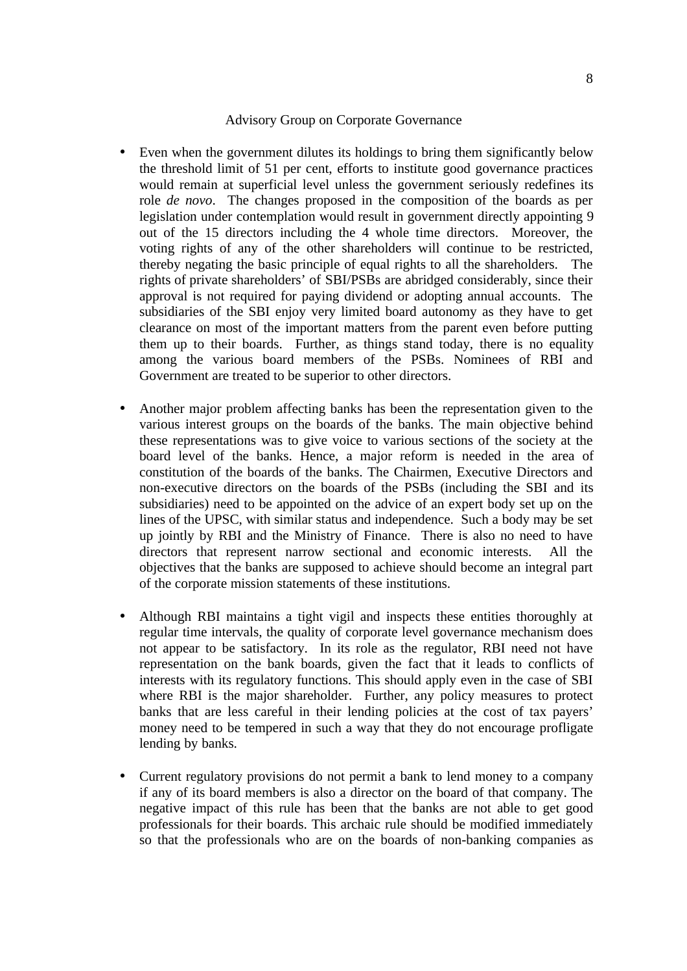## Advisory Group on Corporate Governance

- Even when the government dilutes its holdings to bring them significantly below the threshold limit of 51 per cent, efforts to institute good governance practices would remain at superficial level unless the government seriously redefines its role *de novo*. The changes proposed in the composition of the boards as per legislation under contemplation would result in government directly appointing 9 out of the 15 directors including the 4 whole time directors. Moreover, the voting rights of any of the other shareholders will continue to be restricted, thereby negating the basic principle of equal rights to all the shareholders. The rights of private shareholders' of SBI/PSBs are abridged considerably, since their approval is not required for paying dividend or adopting annual accounts. The subsidiaries of the SBI enjoy very limited board autonomy as they have to get clearance on most of the important matters from the parent even before putting them up to their boards. Further, as things stand today, there is no equality among the various board members of the PSBs. Nominees of RBI and Government are treated to be superior to other directors.
- Another major problem affecting banks has been the representation given to the various interest groups on the boards of the banks. The main objective behind these representations was to give voice to various sections of the society at the board level of the banks. Hence, a major reform is needed in the area of constitution of the boards of the banks. The Chairmen, Executive Directors and non-executive directors on the boards of the PSBs (including the SBI and its subsidiaries) need to be appointed on the advice of an expert body set up on the lines of the UPSC, with similar status and independence. Such a body may be set up jointly by RBI and the Ministry of Finance. There is also no need to have directors that represent narrow sectional and economic interests. All the objectives that the banks are supposed to achieve should become an integral part of the corporate mission statements of these institutions.
- Although RBI maintains a tight vigil and inspects these entities thoroughly at regular time intervals, the quality of corporate level governance mechanism does not appear to be satisfactory. In its role as the regulator, RBI need not have representation on the bank boards, given the fact that it leads to conflicts of interests with its regulatory functions. This should apply even in the case of SBI where RBI is the major shareholder. Further, any policy measures to protect banks that are less careful in their lending policies at the cost of tax payers' money need to be tempered in such a way that they do not encourage profligate lending by banks.
- Current regulatory provisions do not permit a bank to lend money to a company if any of its board members is also a director on the board of that company. The negative impact of this rule has been that the banks are not able to get good professionals for their boards. This archaic rule should be modified immediately so that the professionals who are on the boards of non-banking companies as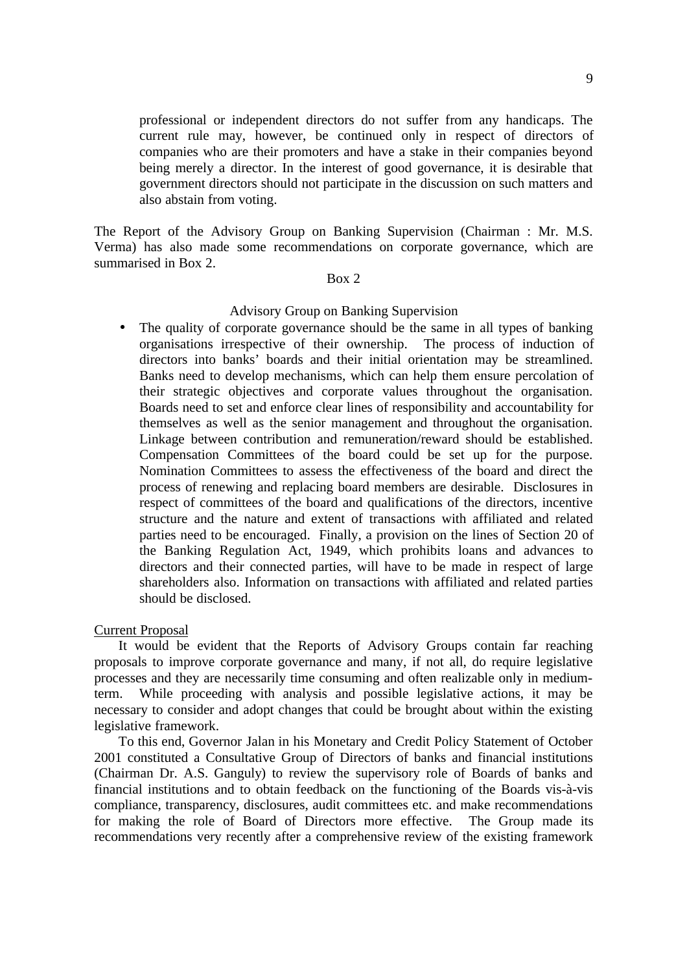professional or independent directors do not suffer from any handicaps. The current rule may, however, be continued only in respect of directors of companies who are their promoters and have a stake in their companies beyond being merely a director. In the interest of good governance, it is desirable that government directors should not participate in the discussion on such matters and also abstain from voting.

The Report of the Advisory Group on Banking Supervision (Chairman : Mr. M.S. Verma) has also made some recommendations on corporate governance, which are summarised in Box 2.

#### Box 2

## Advisory Group on Banking Supervision

The quality of corporate governance should be the same in all types of banking organisations irrespective of their ownership. The process of induction of directors into banks' boards and their initial orientation may be streamlined. Banks need to develop mechanisms, which can help them ensure percolation of their strategic objectives and corporate values throughout the organisation. Boards need to set and enforce clear lines of responsibility and accountability for themselves as well as the senior management and throughout the organisation. Linkage between contribution and remuneration/reward should be established. Compensation Committees of the board could be set up for the purpose. Nomination Committees to assess the effectiveness of the board and direct the process of renewing and replacing board members are desirable. Disclosures in respect of committees of the board and qualifications of the directors, incentive structure and the nature and extent of transactions with affiliated and related parties need to be encouraged. Finally, a provision on the lines of Section 20 of the Banking Regulation Act, 1949, which prohibits loans and advances to directors and their connected parties, will have to be made in respect of large shareholders also. Information on transactions with affiliated and related parties should be disclosed.

## Current Proposal

It would be evident that the Reports of Advisory Groups contain far reaching proposals to improve corporate governance and many, if not all, do require legislative processes and they are necessarily time consuming and often realizable only in mediumterm. While proceeding with analysis and possible legislative actions, it may be necessary to consider and adopt changes that could be brought about within the existing legislative framework.

To this end, Governor Jalan in his Monetary and Credit Policy Statement of October 2001 constituted a Consultative Group of Directors of banks and financial institutions (Chairman Dr. A.S. Ganguly) to review the supervisory role of Boards of banks and financial institutions and to obtain feedback on the functioning of the Boards vis-à-vis compliance, transparency, disclosures, audit committees etc. and make recommendations for making the role of Board of Directors more effective. The Group made its recommendations very recently after a comprehensive review of the existing framework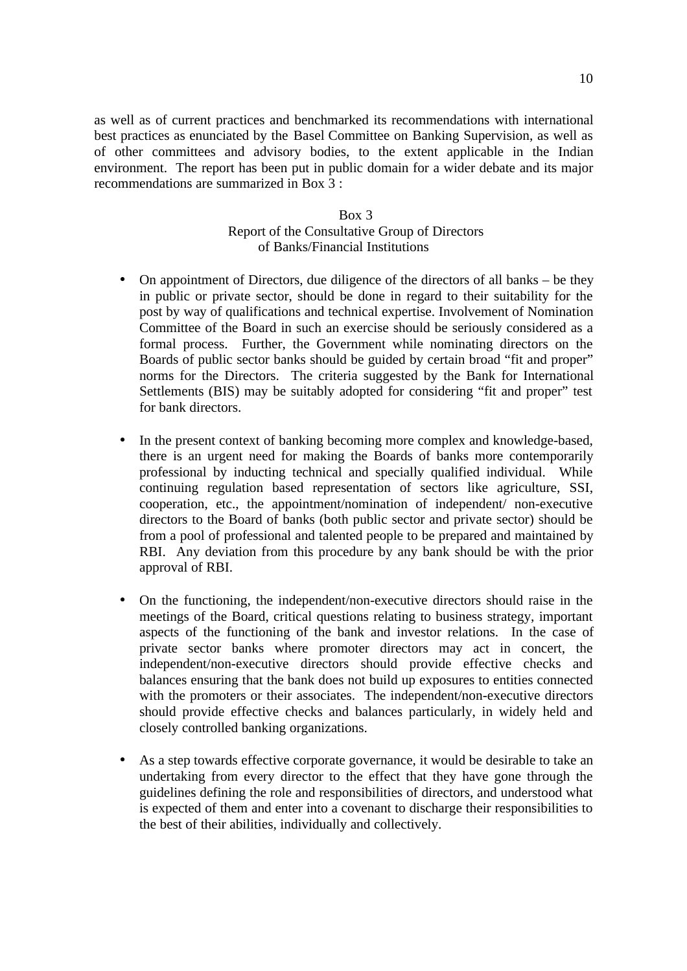as well as of current practices and benchmarked its recommendations with international best practices as enunciated by the Basel Committee on Banking Supervision, as well as of other committees and advisory bodies, to the extent applicable in the Indian environment. The report has been put in public domain for a wider debate and its major recommendations are summarized in Box 3 :

## Box 3 Report of the Consultative Group of Directors of Banks/Financial Institutions

- On appointment of Directors, due diligence of the directors of all banks be they in public or private sector, should be done in regard to their suitability for the post by way of qualifications and technical expertise. Involvement of Nomination Committee of the Board in such an exercise should be seriously considered as a formal process. Further, the Government while nominating directors on the Boards of public sector banks should be guided by certain broad "fit and proper" norms for the Directors. The criteria suggested by the Bank for International Settlements (BIS) may be suitably adopted for considering "fit and proper" test for bank directors.
- In the present context of banking becoming more complex and knowledge-based, there is an urgent need for making the Boards of banks more contemporarily professional by inducting technical and specially qualified individual. While continuing regulation based representation of sectors like agriculture, SSI, cooperation, etc., the appointment/nomination of independent/ non-executive directors to the Board of banks (both public sector and private sector) should be from a pool of professional and talented people to be prepared and maintained by RBI. Any deviation from this procedure by any bank should be with the prior approval of RBI.
- On the functioning, the independent/non-executive directors should raise in the meetings of the Board, critical questions relating to business strategy, important aspects of the functioning of the bank and investor relations. In the case of private sector banks where promoter directors may act in concert, the independent/non-executive directors should provide effective checks and balances ensuring that the bank does not build up exposures to entities connected with the promoters or their associates. The independent/non-executive directors should provide effective checks and balances particularly, in widely held and closely controlled banking organizations.
- As a step towards effective corporate governance, it would be desirable to take an undertaking from every director to the effect that they have gone through the guidelines defining the role and responsibilities of directors, and understood what is expected of them and enter into a covenant to discharge their responsibilities to the best of their abilities, individually and collectively.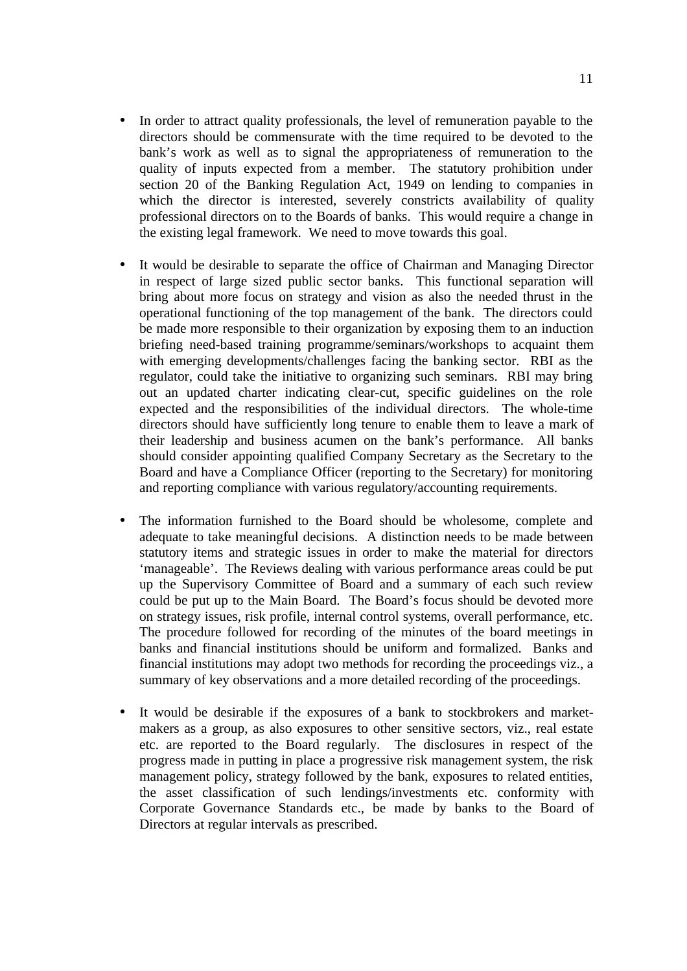- In order to attract quality professionals, the level of remuneration payable to the directors should be commensurate with the time required to be devoted to the bank's work as well as to signal the appropriateness of remuneration to the quality of inputs expected from a member. The statutory prohibition under section 20 of the Banking Regulation Act, 1949 on lending to companies in which the director is interested, severely constricts availability of quality professional directors on to the Boards of banks. This would require a change in the existing legal framework. We need to move towards this goal.
- It would be desirable to separate the office of Chairman and Managing Director in respect of large sized public sector banks. This functional separation will bring about more focus on strategy and vision as also the needed thrust in the operational functioning of the top management of the bank. The directors could be made more responsible to their organization by exposing them to an induction briefing need-based training programme/seminars/workshops to acquaint them with emerging developments/challenges facing the banking sector. RBI as the regulator, could take the initiative to organizing such seminars. RBI may bring out an updated charter indicating clear-cut, specific guidelines on the role expected and the responsibilities of the individual directors. The whole-time directors should have sufficiently long tenure to enable them to leave a mark of their leadership and business acumen on the bank's performance. All banks should consider appointing qualified Company Secretary as the Secretary to the Board and have a Compliance Officer (reporting to the Secretary) for monitoring and reporting compliance with various regulatory/accounting requirements.
- The information furnished to the Board should be wholesome, complete and adequate to take meaningful decisions. A distinction needs to be made between statutory items and strategic issues in order to make the material for directors 'manageable'. The Reviews dealing with various performance areas could be put up the Supervisory Committee of Board and a summary of each such review could be put up to the Main Board. The Board's focus should be devoted more on strategy issues, risk profile, internal control systems, overall performance, etc. The procedure followed for recording of the minutes of the board meetings in banks and financial institutions should be uniform and formalized. Banks and financial institutions may adopt two methods for recording the proceedings viz., a summary of key observations and a more detailed recording of the proceedings.
- It would be desirable if the exposures of a bank to stockbrokers and marketmakers as a group, as also exposures to other sensitive sectors, viz., real estate etc. are reported to the Board regularly. The disclosures in respect of the progress made in putting in place a progressive risk management system, the risk management policy, strategy followed by the bank, exposures to related entities, the asset classification of such lendings/investments etc. conformity with Corporate Governance Standards etc., be made by banks to the Board of Directors at regular intervals as prescribed.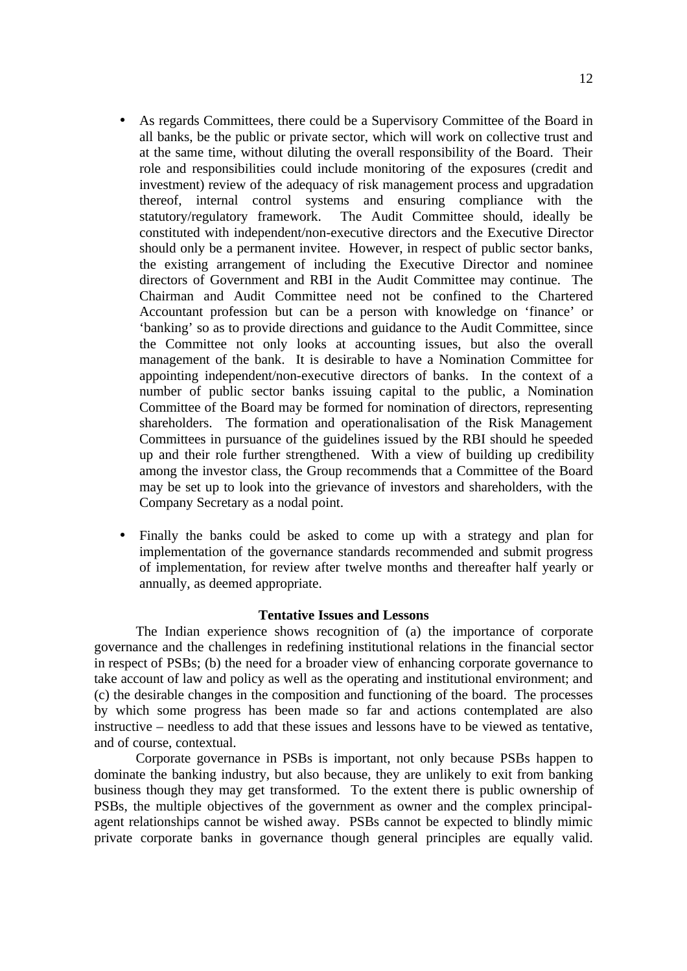- As regards Committees, there could be a Supervisory Committee of the Board in all banks, be the public or private sector, which will work on collective trust and at the same time, without diluting the overall responsibility of the Board. Their role and responsibilities could include monitoring of the exposures (credit and investment) review of the adequacy of risk management process and upgradation thereof, internal control systems and ensuring compliance with the statutory/regulatory framework. The Audit Committee should, ideally be constituted with independent/non-executive directors and the Executive Director should only be a permanent invitee. However, in respect of public sector banks, the existing arrangement of including the Executive Director and nominee directors of Government and RBI in the Audit Committee may continue. The Chairman and Audit Committee need not be confined to the Chartered Accountant profession but can be a person with knowledge on 'finance' or 'banking' so as to provide directions and guidance to the Audit Committee, since the Committee not only looks at accounting issues, but also the overall management of the bank. It is desirable to have a Nomination Committee for appointing independent/non-executive directors of banks. In the context of a number of public sector banks issuing capital to the public, a Nomination Committee of the Board may be formed for nomination of directors, representing shareholders. The formation and operationalisation of the Risk Management Committees in pursuance of the guidelines issued by the RBI should he speeded up and their role further strengthened. With a view of building up credibility among the investor class, the Group recommends that a Committee of the Board may be set up to look into the grievance of investors and shareholders, with the Company Secretary as a nodal point.
- Finally the banks could be asked to come up with a strategy and plan for implementation of the governance standards recommended and submit progress of implementation, for review after twelve months and thereafter half yearly or annually, as deemed appropriate.

#### **Tentative Issues and Lessons**

The Indian experience shows recognition of (a) the importance of corporate governance and the challenges in redefining institutional relations in the financial sector in respect of PSBs; (b) the need for a broader view of enhancing corporate governance to take account of law and policy as well as the operating and institutional environment; and (c) the desirable changes in the composition and functioning of the board. The processes by which some progress has been made so far and actions contemplated are also instructive – needless to add that these issues and lessons have to be viewed as tentative, and of course, contextual.

Corporate governance in PSBs is important, not only because PSBs happen to dominate the banking industry, but also because, they are unlikely to exit from banking business though they may get transformed. To the extent there is public ownership of PSBs, the multiple objectives of the government as owner and the complex principalagent relationships cannot be wished away. PSBs cannot be expected to blindly mimic private corporate banks in governance though general principles are equally valid.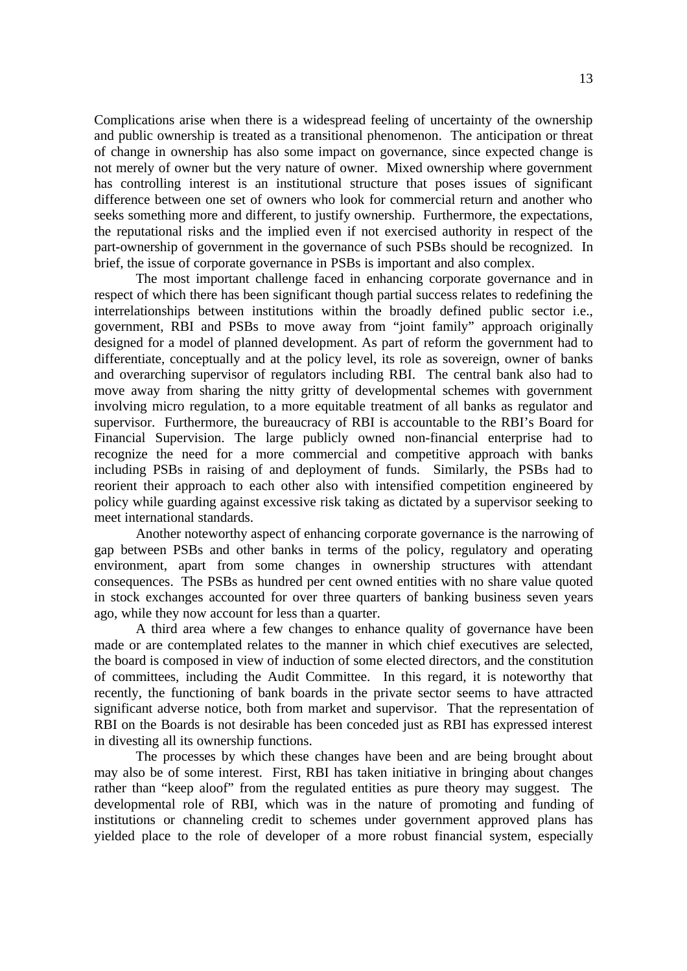Complications arise when there is a widespread feeling of uncertainty of the ownership and public ownership is treated as a transitional phenomenon. The anticipation or threat of change in ownership has also some impact on governance, since expected change is not merely of owner but the very nature of owner. Mixed ownership where government has controlling interest is an institutional structure that poses issues of significant difference between one set of owners who look for commercial return and another who seeks something more and different, to justify ownership. Furthermore, the expectations, the reputational risks and the implied even if not exercised authority in respect of the part-ownership of government in the governance of such PSBs should be recognized. In brief, the issue of corporate governance in PSBs is important and also complex.

The most important challenge faced in enhancing corporate governance and in respect of which there has been significant though partial success relates to redefining the interrelationships between institutions within the broadly defined public sector i.e., government, RBI and PSBs to move away from "joint family" approach originally designed for a model of planned development. As part of reform the government had to differentiate, conceptually and at the policy level, its role as sovereign, owner of banks and overarching supervisor of regulators including RBI. The central bank also had to move away from sharing the nitty gritty of developmental schemes with government involving micro regulation, to a more equitable treatment of all banks as regulator and supervisor. Furthermore, the bureaucracy of RBI is accountable to the RBI's Board for Financial Supervision. The large publicly owned non-financial enterprise had to recognize the need for a more commercial and competitive approach with banks including PSBs in raising of and deployment of funds. Similarly, the PSBs had to reorient their approach to each other also with intensified competition engineered by policy while guarding against excessive risk taking as dictated by a supervisor seeking to meet international standards.

Another noteworthy aspect of enhancing corporate governance is the narrowing of gap between PSBs and other banks in terms of the policy, regulatory and operating environment, apart from some changes in ownership structures with attendant consequences. The PSBs as hundred per cent owned entities with no share value quoted in stock exchanges accounted for over three quarters of banking business seven years ago, while they now account for less than a quarter.

A third area where a few changes to enhance quality of governance have been made or are contemplated relates to the manner in which chief executives are selected, the board is composed in view of induction of some elected directors, and the constitution of committees, including the Audit Committee. In this regard, it is noteworthy that recently, the functioning of bank boards in the private sector seems to have attracted significant adverse notice, both from market and supervisor. That the representation of RBI on the Boards is not desirable has been conceded just as RBI has expressed interest in divesting all its ownership functions.

The processes by which these changes have been and are being brought about may also be of some interest. First, RBI has taken initiative in bringing about changes rather than "keep aloof" from the regulated entities as pure theory may suggest. The developmental role of RBI, which was in the nature of promoting and funding of institutions or channeling credit to schemes under government approved plans has yielded place to the role of developer of a more robust financial system, especially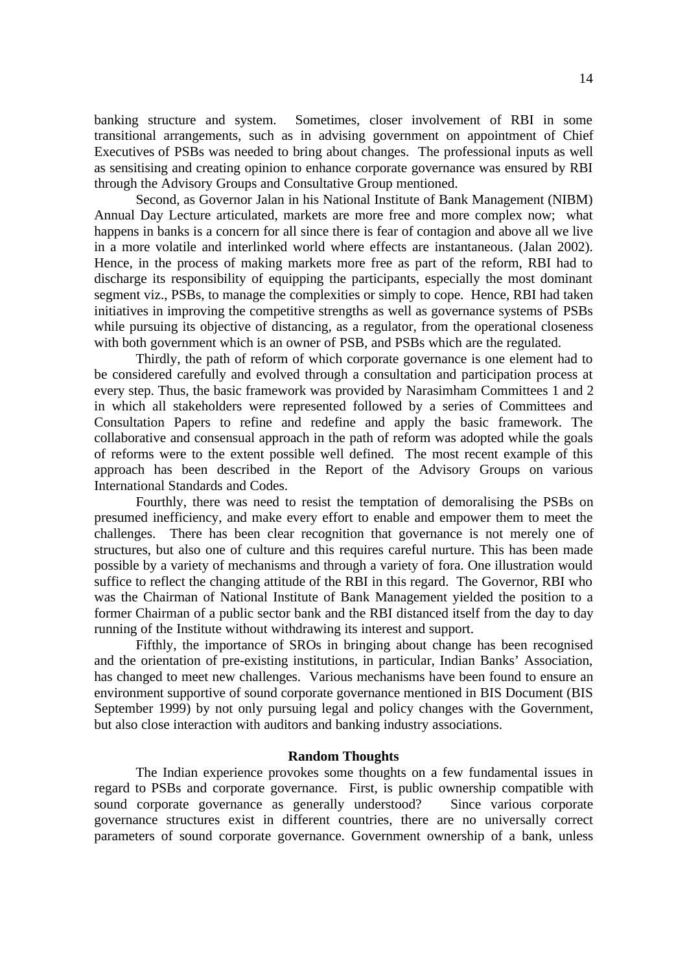banking structure and system. Sometimes, closer involvement of RBI in some transitional arrangements, such as in advising government on appointment of Chief Executives of PSBs was needed to bring about changes. The professional inputs as well as sensitising and creating opinion to enhance corporate governance was ensured by RBI through the Advisory Groups and Consultative Group mentioned.

Second, as Governor Jalan in his National Institute of Bank Management (NIBM) Annual Day Lecture articulated, markets are more free and more complex now; what happens in banks is a concern for all since there is fear of contagion and above all we live in a more volatile and interlinked world where effects are instantaneous. (Jalan 2002). Hence, in the process of making markets more free as part of the reform, RBI had to discharge its responsibility of equipping the participants, especially the most dominant segment viz., PSBs, to manage the complexities or simply to cope. Hence, RBI had taken initiatives in improving the competitive strengths as well as governance systems of PSBs while pursuing its objective of distancing, as a regulator, from the operational closeness with both government which is an owner of PSB, and PSBs which are the regulated.

Thirdly, the path of reform of which corporate governance is one element had to be considered carefully and evolved through a consultation and participation process at every step. Thus, the basic framework was provided by Narasimham Committees 1 and 2 in which all stakeholders were represented followed by a series of Committees and Consultation Papers to refine and redefine and apply the basic framework. The collaborative and consensual approach in the path of reform was adopted while the goals of reforms were to the extent possible well defined. The most recent example of this approach has been described in the Report of the Advisory Groups on various International Standards and Codes.

Fourthly, there was need to resist the temptation of demoralising the PSBs on presumed inefficiency, and make every effort to enable and empower them to meet the challenges. There has been clear recognition that governance is not merely one of structures, but also one of culture and this requires careful nurture. This has been made possible by a variety of mechanisms and through a variety of fora. One illustration would suffice to reflect the changing attitude of the RBI in this regard. The Governor, RBI who was the Chairman of National Institute of Bank Management yielded the position to a former Chairman of a public sector bank and the RBI distanced itself from the day to day running of the Institute without withdrawing its interest and support.

Fifthly, the importance of SROs in bringing about change has been recognised and the orientation of pre-existing institutions, in particular, Indian Banks' Association, has changed to meet new challenges. Various mechanisms have been found to ensure an environment supportive of sound corporate governance mentioned in BIS Document (BIS September 1999) by not only pursuing legal and policy changes with the Government, but also close interaction with auditors and banking industry associations.

#### **Random Thoughts**

The Indian experience provokes some thoughts on a few fundamental issues in regard to PSBs and corporate governance. First, is public ownership compatible with sound corporate governance as generally understood? Since various corporate governance structures exist in different countries, there are no universally correct parameters of sound corporate governance. Government ownership of a bank, unless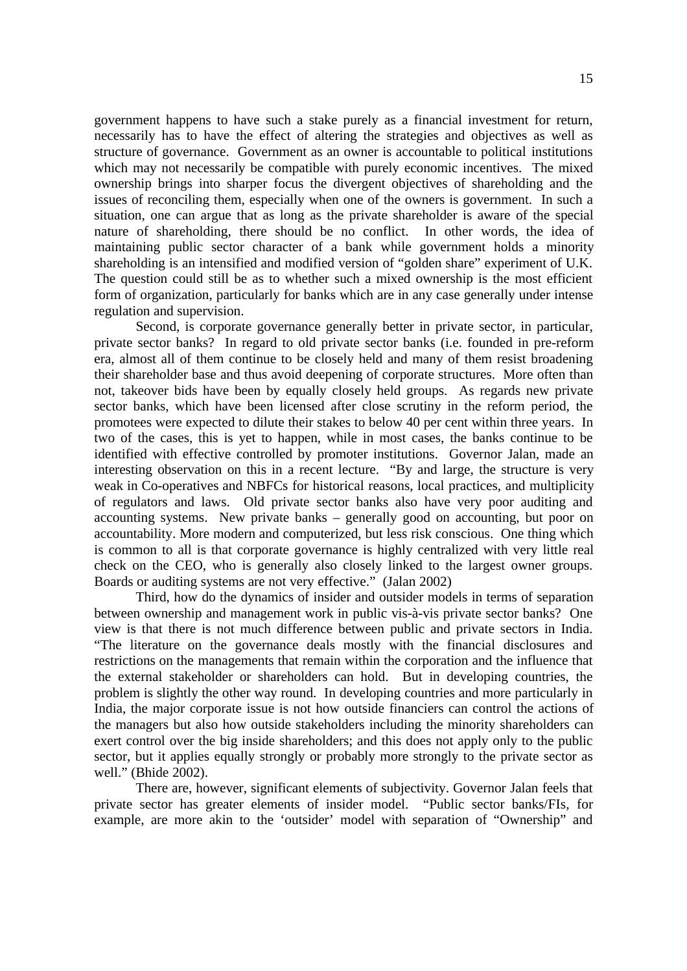government happens to have such a stake purely as a financial investment for return, necessarily has to have the effect of altering the strategies and objectives as well as structure of governance. Government as an owner is accountable to political institutions which may not necessarily be compatible with purely economic incentives. The mixed ownership brings into sharper focus the divergent objectives of shareholding and the issues of reconciling them, especially when one of the owners is government. In such a situation, one can argue that as long as the private shareholder is aware of the special nature of shareholding, there should be no conflict. In other words, the idea of maintaining public sector character of a bank while government holds a minority shareholding is an intensified and modified version of "golden share" experiment of U.K. The question could still be as to whether such a mixed ownership is the most efficient form of organization, particularly for banks which are in any case generally under intense regulation and supervision.

Second, is corporate governance generally better in private sector, in particular, private sector banks? In regard to old private sector banks (i.e. founded in pre-reform era, almost all of them continue to be closely held and many of them resist broadening their shareholder base and thus avoid deepening of corporate structures. More often than not, takeover bids have been by equally closely held groups. As regards new private sector banks, which have been licensed after close scrutiny in the reform period, the promotees were expected to dilute their stakes to below 40 per cent within three years. In two of the cases, this is yet to happen, while in most cases, the banks continue to be identified with effective controlled by promoter institutions. Governor Jalan, made an interesting observation on this in a recent lecture. "By and large, the structure is very weak in Co-operatives and NBFCs for historical reasons, local practices, and multiplicity of regulators and laws. Old private sector banks also have very poor auditing and accounting systems. New private banks – generally good on accounting, but poor on accountability. More modern and computerized, but less risk conscious. One thing which is common to all is that corporate governance is highly centralized with very little real check on the CEO, who is generally also closely linked to the largest owner groups. Boards or auditing systems are not very effective." (Jalan 2002)

Third, how do the dynamics of insider and outsider models in terms of separation between ownership and management work in public vis-à-vis private sector banks? One view is that there is not much difference between public and private sectors in India. "The literature on the governance deals mostly with the financial disclosures and restrictions on the managements that remain within the corporation and the influence that the external stakeholder or shareholders can hold. But in developing countries, the problem is slightly the other way round. In developing countries and more particularly in India, the major corporate issue is not how outside financiers can control the actions of the managers but also how outside stakeholders including the minority shareholders can exert control over the big inside shareholders; and this does not apply only to the public sector, but it applies equally strongly or probably more strongly to the private sector as well." (Bhide 2002).

There are, however, significant elements of subjectivity. Governor Jalan feels that private sector has greater elements of insider model. "Public sector banks/FIs, for example, are more akin to the 'outsider' model with separation of "Ownership" and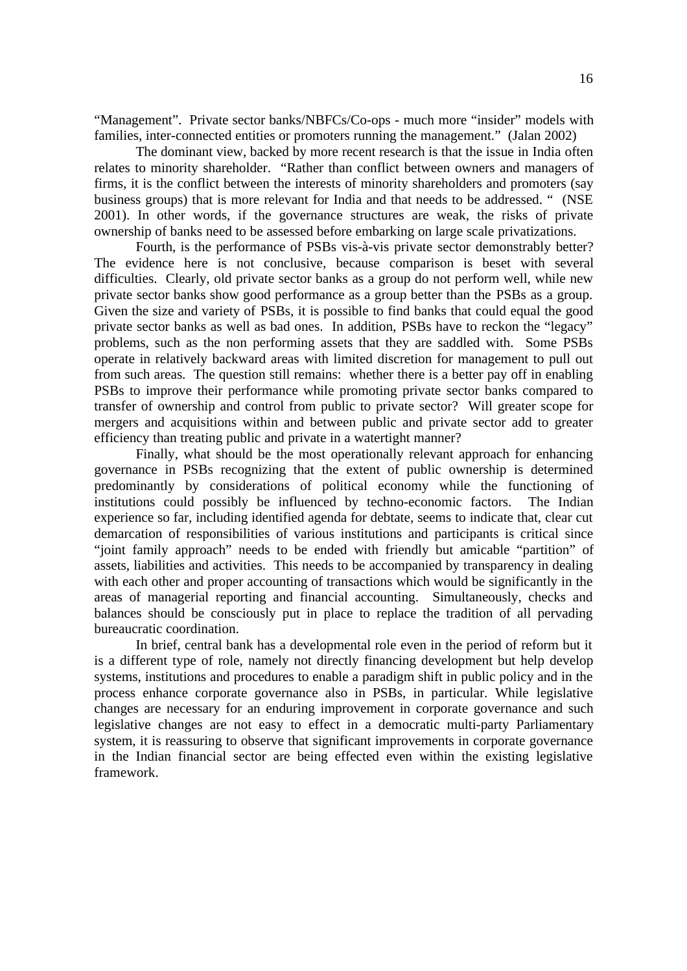"Management". Private sector banks/NBFCs/Co-ops - much more "insider" models with families, inter-connected entities or promoters running the management." (Jalan 2002)

The dominant view, backed by more recent research is that the issue in India often relates to minority shareholder. "Rather than conflict between owners and managers of firms, it is the conflict between the interests of minority shareholders and promoters (say business groups) that is more relevant for India and that needs to be addressed. " (NSE 2001). In other words, if the governance structures are weak, the risks of private ownership of banks need to be assessed before embarking on large scale privatizations.

Fourth, is the performance of PSBs vis-à-vis private sector demonstrably better? The evidence here is not conclusive, because comparison is beset with several difficulties. Clearly, old private sector banks as a group do not perform well, while new private sector banks show good performance as a group better than the PSBs as a group. Given the size and variety of PSBs, it is possible to find banks that could equal the good private sector banks as well as bad ones. In addition, PSBs have to reckon the "legacy" problems, such as the non performing assets that they are saddled with. Some PSBs operate in relatively backward areas with limited discretion for management to pull out from such areas. The question still remains: whether there is a better pay off in enabling PSBs to improve their performance while promoting private sector banks compared to transfer of ownership and control from public to private sector? Will greater scope for mergers and acquisitions within and between public and private sector add to greater efficiency than treating public and private in a watertight manner?

Finally, what should be the most operationally relevant approach for enhancing governance in PSBs recognizing that the extent of public ownership is determined predominantly by considerations of political economy while the functioning of institutions could possibly be influenced by techno-economic factors. The Indian experience so far, including identified agenda for debtate, seems to indicate that, clear cut demarcation of responsibilities of various institutions and participants is critical since "joint family approach" needs to be ended with friendly but amicable "partition" of assets, liabilities and activities. This needs to be accompanied by transparency in dealing with each other and proper accounting of transactions which would be significantly in the areas of managerial reporting and financial accounting. Simultaneously, checks and balances should be consciously put in place to replace the tradition of all pervading bureaucratic coordination.

In brief, central bank has a developmental role even in the period of reform but it is a different type of role, namely not directly financing development but help develop systems, institutions and procedures to enable a paradigm shift in public policy and in the process enhance corporate governance also in PSBs, in particular. While legislative changes are necessary for an enduring improvement in corporate governance and such legislative changes are not easy to effect in a democratic multi-party Parliamentary system, it is reassuring to observe that significant improvements in corporate governance in the Indian financial sector are being effected even within the existing legislative framework.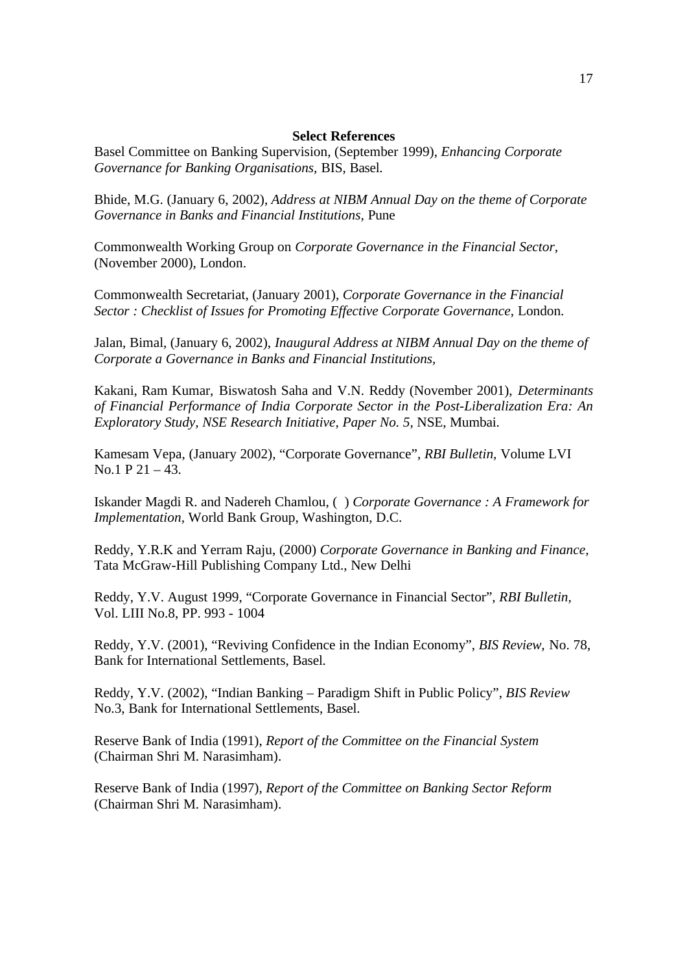### **Select References**

Basel Committee on Banking Supervision, (September 1999), *Enhancing Corporate Governance for Banking Organisations,* BIS, Basel.

Bhide, M.G. (January 6, 2002), *Address at NIBM Annual Day on the theme of Corporate Governance in Banks and Financial Institutions,* Pune

Commonwealth Working Group on *Corporate Governance in the Financial Sector,* (November 2000), London.

Commonwealth Secretariat, (January 2001), *Corporate Governance in the Financial Sector : Checklist of Issues for Promoting Effective Corporate Governance,* London.

Jalan, Bimal, (January 6, 2002), *Inaugural Address at NIBM Annual Day on the theme of Corporate a Governance in Banks and Financial Institutions,*

Kakani, Ram Kumar, Biswatosh Saha and V.N. Reddy (November 2001), *Determinants of Financial Performance of India Corporate Sector in the Post-Liberalization Era: An Exploratory Study, NSE Research Initiative, Paper No. 5,* NSE, Mumbai.

Kamesam Vepa, (January 2002), "Corporate Governance", *RBI Bulletin,* Volume LVI No.1 P 21 – 43.

Iskander Magdi R. and Nadereh Chamlou, ( ) *Corporate Governance : A Framework for Implementation,* World Bank Group, Washington, D.C.

Reddy, Y.R.K and Yerram Raju, (2000) *Corporate Governance in Banking and Finance,* Tata McGraw-Hill Publishing Company Ltd., New Delhi

Reddy, Y.V. August 1999, "Corporate Governance in Financial Sector", *RBI Bulletin,* Vol. LIII No.8, PP. 993 - 1004

Reddy, Y.V. (2001), "Reviving Confidence in the Indian Economy", *BIS Review,* No. 78, Bank for International Settlements, Basel.

Reddy, Y.V. (2002), "Indian Banking – Paradigm Shift in Public Policy", *BIS Review* No.3, Bank for International Settlements, Basel.

Reserve Bank of India (1991), *Report of the Committee on the Financial System* (Chairman Shri M. Narasimham).

Reserve Bank of India (1997), *Report of the Committee on Banking Sector Reform* (Chairman Shri M. Narasimham).